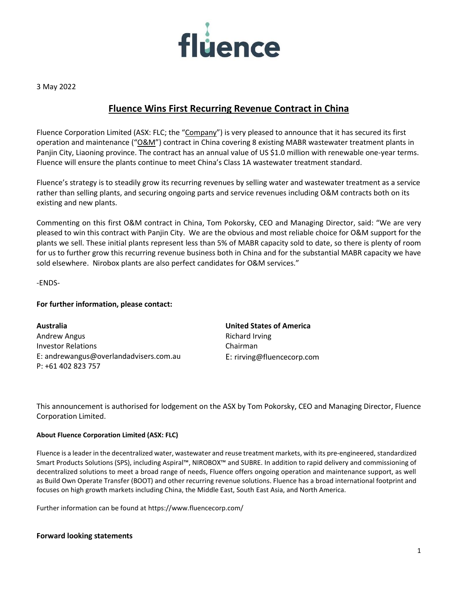

3 May 2022

## **Fluence Wins First Recurring Revenue Contract in China**

Fluence Corporation Limited (ASX: FLC; the "Company") is very pleased to announce that it has secured its first operation and maintenance ("O&M") contract in China covering 8 existing MABR wastewater treatment plants in Panjin City, Liaoning province. The contract has an annual value of US \$1.0 million with renewable one-year terms. Fluence will ensure the plants continue to meet China's Class 1A wastewater treatment standard.

Fluence's strategy is to steadily grow its recurring revenues by selling water and wastewater treatment as a service rather than selling plants, and securing ongoing parts and service revenues including O&M contracts both on its existing and new plants.

Commenting on this first O&M contract in China, Tom Pokorsky, CEO and Managing Director, said: "We are very pleased to win this contract with Panjin City. We are the obvious and most reliable choice for O&M support for the plants we sell. These initial plants represent less than 5% of MABR capacity sold to date, so there is plenty of room for us to further grow this recurring revenue business both in China and for the substantial MABR capacity we have sold elsewhere. Nirobox plants are also perfect candidates for O&M services."

-ENDS-

## **For further information, please contact:**

**Australia** Andrew Angus Investor Relations E: andrewangus@overlandadvisers.com.au P: +61 402 823 757

**United States of America** Richard Irving Chairman E: [rirving@fluencecorp.com](mailto:rirving@fluencecorp.com)

This announcement is authorised for lodgement on the ASX by Tom Pokorsky, CEO and Managing Director, Fluence Corporation Limited.

## **About Fluence Corporation Limited (ASX: FLC)**

Fluence is a leader in the decentralized water, wastewater and reuse treatment markets, with its pre-engineered, standardized Smart Products Solutions (SPS), including Aspiral™, NIROBOX™ and SUBRE. In addition to rapid delivery and commissioning of decentralized solutions to meet a broad range of needs, Fluence offers ongoing operation and maintenance support, as well as Build Own Operate Transfer (BOOT) and other recurring revenue solutions. Fluence has a broad international footprint and focuses on high growth markets including China, the Middle East, South East Asia, and North America.

Further information can be found at https://www.fluencecorp.com/

## **Forward looking statements**